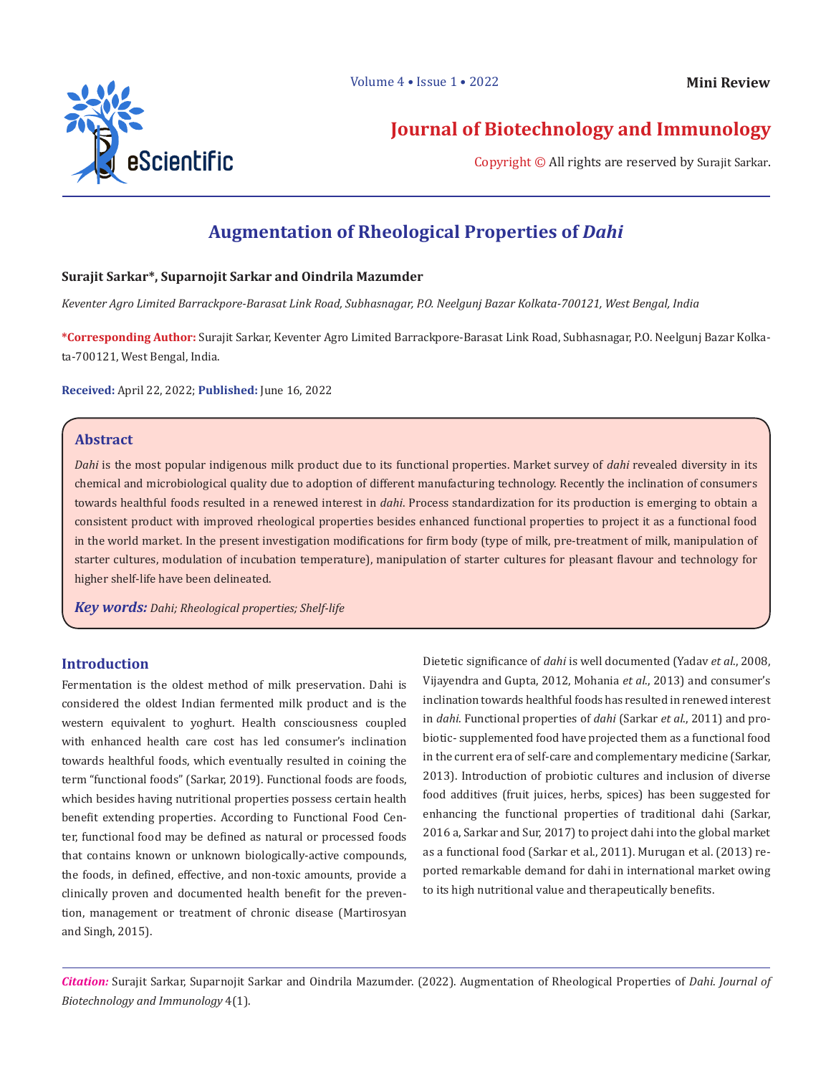

**Journal of Biotechnology and Immunology**

Copyright © All rights are reserved by Surajit Sarkar.

# **Augmentation of Rheological Properties of** *Dahi*

# **Surajit Sarkar\*, Suparnojit Sarkar and Oindrila Mazumder**

*Keventer Agro Limited Barrackpore-Barasat Link Road, Subhasnagar, P.O. Neelgunj Bazar Kolkata-700121, West Bengal, India*

**\*Corresponding Author:** Surajit Sarkar, Keventer Agro Limited Barrackpore-Barasat Link Road, Subhasnagar, P.O. Neelgunj Bazar Kolkata-700121, West Bengal, India.

**Received:** April 22, 2022; **Published:** June 16, 2022

# **Abstract**

*Dahi* is the most popular indigenous milk product due to its functional properties. Market survey of *dahi* revealed diversity in its chemical and microbiological quality due to adoption of different manufacturing technology. Recently the inclination of consumers towards healthful foods resulted in a renewed interest in *dahi*. Process standardization for its production is emerging to obtain a consistent product with improved rheological properties besides enhanced functional properties to project it as a functional food in the world market. In the present investigation modifications for firm body (type of milk, pre-treatment of milk, manipulation of starter cultures, modulation of incubation temperature), manipulation of starter cultures for pleasant flavour and technology for higher shelf-life have been delineated.

*Key words: Dahi; Rheological properties; Shelf-life*

# **Introduction**

Fermentation is the oldest method of milk preservation. Dahi is considered the oldest Indian fermented milk product and is the western equivalent to yoghurt. Health consciousness coupled with enhanced health care cost has led consumer's inclination towards healthful foods, which eventually resulted in coining the term "functional foods" (Sarkar, 2019). Functional foods are foods, which besides having nutritional properties possess certain health benefit extending properties. According to Functional Food Center, functional food may be defined as natural or processed foods that contains known or unknown biologically-active compounds, the foods, in defined, effective, and non-toxic amounts, provide a clinically proven and documented health benefit for the prevention, management or treatment of chronic disease (Martirosyan and Singh, 2015).

Dietetic significance of *dahi* is well documented (Yadav *et al*., 2008, Vijayendra and Gupta, 2012, Mohania *et al*., 2013) and consumer's inclination towards healthful foods has resulted in renewed interest in *dahi*. Functional properties of *dahi* (Sarkar *et al*., 2011) and probiotic- supplemented food have projected them as a functional food in the current era of self-care and complementary medicine (Sarkar, 2013). Introduction of probiotic cultures and inclusion of diverse food additives (fruit juices, herbs, spices) has been suggested for enhancing the functional properties of traditional dahi (Sarkar, 2016 a, Sarkar and Sur, 2017) to project dahi into the global market as a functional food (Sarkar et al., 2011). Murugan et al. (2013) reported remarkable demand for dahi in international market owing to its high nutritional value and therapeutically benefits.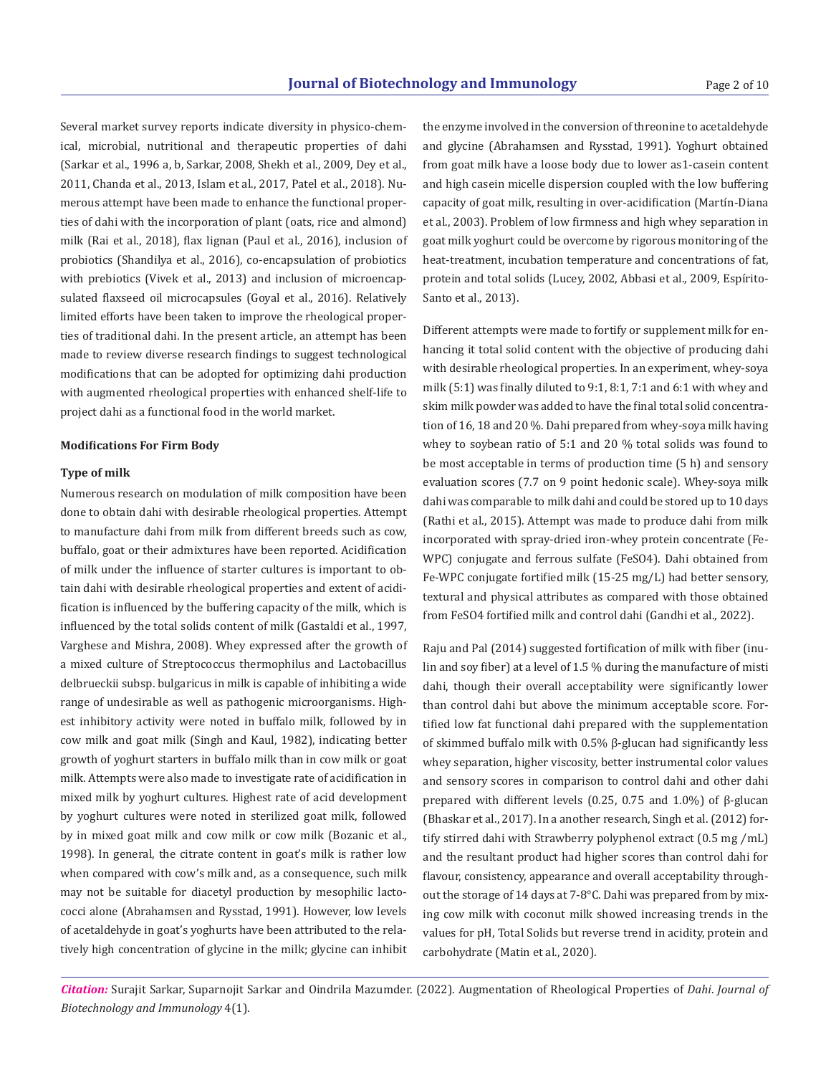Several market survey reports indicate diversity in physico-chemical, microbial, nutritional and therapeutic properties of dahi (Sarkar et al., 1996 a, b, Sarkar, 2008, Shekh et al., 2009, Dey et al., 2011, Chanda et al., 2013, Islam et al., 2017, Patel et al., 2018). Numerous attempt have been made to enhance the functional properties of dahi with the incorporation of plant (oats, rice and almond) milk (Rai et al., 2018), flax lignan (Paul et al., 2016), inclusion of probiotics (Shandilya et al., 2016), co-encapsulation of probiotics with prebiotics (Vivek et al., 2013) and inclusion of microencapsulated flaxseed oil microcapsules (Goyal et al., 2016). Relatively limited efforts have been taken to improve the rheological properties of traditional dahi. In the present article, an attempt has been made to review diverse research findings to suggest technological modifications that can be adopted for optimizing dahi production with augmented rheological properties with enhanced shelf-life to project dahi as a functional food in the world market.

#### **Modifications For Firm Body**

### **Type of milk**

Numerous research on modulation of milk composition have been done to obtain dahi with desirable rheological properties. Attempt to manufacture dahi from milk from different breeds such as cow, buffalo, goat or their admixtures have been reported. Acidification of milk under the influence of starter cultures is important to obtain dahi with desirable rheological properties and extent of acidification is influenced by the buffering capacity of the milk, which is influenced by the total solids content of milk (Gastaldi et al., 1997, Varghese and Mishra, 2008). Whey expressed after the growth of a mixed culture of Streptococcus thermophilus and Lactobacillus delbrueckii subsp. bulgaricus in milk is capable of inhibiting a wide range of undesirable as well as pathogenic microorganisms. Highest inhibitory activity were noted in buffalo milk, followed by in cow milk and goat milk (Singh and Kaul, 1982), indicating better growth of yoghurt starters in buffalo milk than in cow milk or goat milk. Attempts were also made to investigate rate of acidification in mixed milk by yoghurt cultures. Highest rate of acid development by yoghurt cultures were noted in sterilized goat milk, followed by in mixed goat milk and cow milk or cow milk (Bozanic et al., 1998). In general, the citrate content in goat's milk is rather low when compared with cow's milk and, as a consequence, such milk may not be suitable for diacetyl production by mesophilic lactococci alone (Abrahamsen and Rysstad, 1991). However, low levels of acetaldehyde in goat's yoghurts have been attributed to the relatively high concentration of glycine in the milk; glycine can inhibit

the enzyme involved in the conversion of threonine to acetaldehyde and glycine (Abrahamsen and Rysstad, 1991). Yoghurt obtained from goat milk have a loose body due to lower as1-casein content and high casein micelle dispersion coupled with the low buffering capacity of goat milk, resulting in over-acidification (Martín-Diana et al., 2003). Problem of low firmness and high whey separation in goat milk yoghurt could be overcome by rigorous monitoring of the heat-treatment, incubation temperature and concentrations of fat, protein and total solids (Lucey, 2002, Abbasi et al., 2009, Espírito-Santo et al., 2013).

Different attempts were made to fortify or supplement milk for enhancing it total solid content with the objective of producing dahi with desirable rheological properties. In an experiment, whey-soya milk (5:1) was finally diluted to 9:1, 8:1, 7:1 and 6:1 with whey and skim milk powder was added to have the final total solid concentration of 16, 18 and 20 %. Dahi prepared from whey-soya milk having whey to soybean ratio of 5:1 and 20 % total solids was found to be most acceptable in terms of production time (5 h) and sensory evaluation scores (7.7 on 9 point hedonic scale). Whey-soya milk dahi was comparable to milk dahi and could be stored up to 10 days (Rathi et al., 2015). Attempt was made to produce dahi from milk incorporated with spray-dried iron-whey protein concentrate (Fe-WPC) conjugate and ferrous sulfate (FeSO4). Dahi obtained from Fe-WPC conjugate fortified milk (15-25 mg/L) had better sensory, textural and physical attributes as compared with those obtained from FeSO4 fortified milk and control dahi (Gandhi et al., 2022).

Raju and Pal (2014) suggested fortification of milk with fiber (inulin and soy fiber) at a level of 1.5 % during the manufacture of misti dahi, though their overall acceptability were significantly lower than control dahi but above the minimum acceptable score. Fortified low fat functional dahi prepared with the supplementation of skimmed buffalo milk with 0.5% β-glucan had significantly less whey separation, higher viscosity, better instrumental color values and sensory scores in comparison to control dahi and other dahi prepared with different levels (0.25, 0.75 and 1.0%) of β-glucan (Bhaskar et al., 2017). In a another research, Singh et al. (2012) fortify stirred dahi with Strawberry polyphenol extract (0.5 mg ⁄mL) and the resultant product had higher scores than control dahi for flavour, consistency, appearance and overall acceptability throughout the storage of 14 days at 7-8°C. Dahi was prepared from by mixing cow milk with coconut milk showed increasing trends in the values for pH, Total Solids but reverse trend in acidity, protein and carbohydrate (Matin et al., 2020).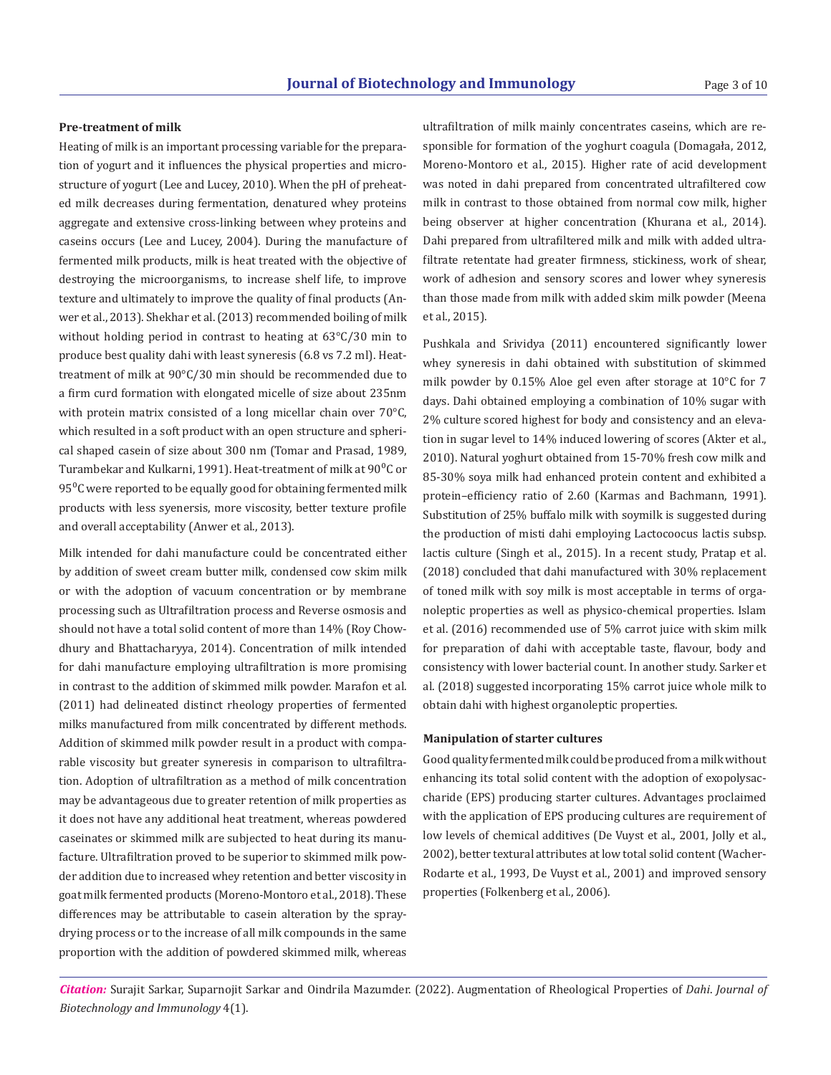#### **Pre-treatment of milk**

Heating of milk is an important processing variable for the preparation of yogurt and it influences the physical properties and microstructure of yogurt (Lee and Lucey, 2010). When the pH of preheated milk decreases during fermentation, denatured whey proteins aggregate and extensive cross-linking between whey proteins and caseins occurs (Lee and Lucey, 2004). During the manufacture of fermented milk products, milk is heat treated with the objective of destroying the microorganisms, to increase shelf life, to improve texture and ultimately to improve the quality of final products (Anwer et al., 2013). Shekhar et al. (2013) recommended boiling of milk without holding period in contrast to heating at 63°C/30 min to produce best quality dahi with least syneresis (6.8 vs 7.2 ml). Heattreatment of milk at 90°C/30 min should be recommended due to a firm curd formation with elongated micelle of size about 235nm with protein matrix consisted of a long micellar chain over 70°C, which resulted in a soft product with an open structure and spherical shaped casein of size about 300 nm (Tomar and Prasad, 1989, Turambekar and Kulkarni, 1991). Heat-treatment of milk at 90°C or  $95^{\circ}$ C were reported to be equally good for obtaining fermented milk products with less syenersis, more viscosity, better texture profile and overall acceptability (Anwer et al., 2013).

Milk intended for dahi manufacture could be concentrated either by addition of sweet cream butter milk, condensed cow skim milk or with the adoption of vacuum concentration or by membrane processing such as Ultrafiltration process and Reverse osmosis and should not have a total solid content of more than 14% (Roy Chowdhury and Bhattacharyya, 2014). Concentration of milk intended for dahi manufacture employing ultrafiltration is more promising in contrast to the addition of skimmed milk powder. Marafon et al. (2011) had delineated distinct rheology properties of fermented milks manufactured from milk concentrated by different methods. Addition of skimmed milk powder result in a product with comparable viscosity but greater syneresis in comparison to ultrafiltration. Adoption of ultrafiltration as a method of milk concentration may be advantageous due to greater retention of milk properties as it does not have any additional heat treatment, whereas powdered caseinates or skimmed milk are subjected to heat during its manufacture. Ultrafiltration proved to be superior to skimmed milk powder addition due to increased whey retention and better viscosity in goat milk fermented products (Moreno-Montoro et al., 2018). These differences may be attributable to casein alteration by the spraydrying process or to the increase of all milk compounds in the same proportion with the addition of powdered skimmed milk, whereas

ultrafiltration of milk mainly concentrates caseins, which are responsible for formation of the yoghurt coagula (Domagała, 2012, Moreno-Montoro et al., 2015). Higher rate of acid development was noted in dahi prepared from concentrated ultrafiltered cow milk in contrast to those obtained from normal cow milk, higher being observer at higher concentration (Khurana et al., 2014). Dahi prepared from ultrafiltered milk and milk with added ultrafiltrate retentate had greater firmness, stickiness, work of shear, work of adhesion and sensory scores and lower whey syneresis than those made from milk with added skim milk powder (Meena et al., 2015).

Pushkala and Srividya (2011) encountered significantly lower whey syneresis in dahi obtained with substitution of skimmed milk powder by 0.15% Aloe gel even after storage at 10°C for 7 days. Dahi obtained employing a combination of 10% sugar with 2% culture scored highest for body and consistency and an elevation in sugar level to 14% induced lowering of scores (Akter et al., 2010). Natural yoghurt obtained from 15-70% fresh cow milk and 85-30% soya milk had enhanced protein content and exhibited a protein–efficiency ratio of 2.60 (Karmas and Bachmann, 1991). Substitution of 25% buffalo milk with soymilk is suggested during the production of misti dahi employing Lactocoocus lactis subsp. lactis culture (Singh et al., 2015). In a recent study, Pratap et al. (2018) concluded that dahi manufactured with 30% replacement of toned milk with soy milk is most acceptable in terms of organoleptic properties as well as physico-chemical properties. Islam et al. (2016) recommended use of 5% carrot juice with skim milk for preparation of dahi with acceptable taste, flavour, body and consistency with lower bacterial count. In another study. Sarker et al. (2018) suggested incorporating 15% carrot juice whole milk to obtain dahi with highest organoleptic properties.

#### **Manipulation of starter cultures**

Good quality fermented milk could be produced from a milk without enhancing its total solid content with the adoption of exopolysaccharide (EPS) producing starter cultures. Advantages proclaimed with the application of EPS producing cultures are requirement of low levels of chemical additives (De Vuyst et al., 2001, Jolly et al., 2002), better textural attributes at low total solid content (Wacher-Rodarte et al., 1993, De Vuyst et al., 2001) and improved sensory properties (Folkenberg et al., 2006).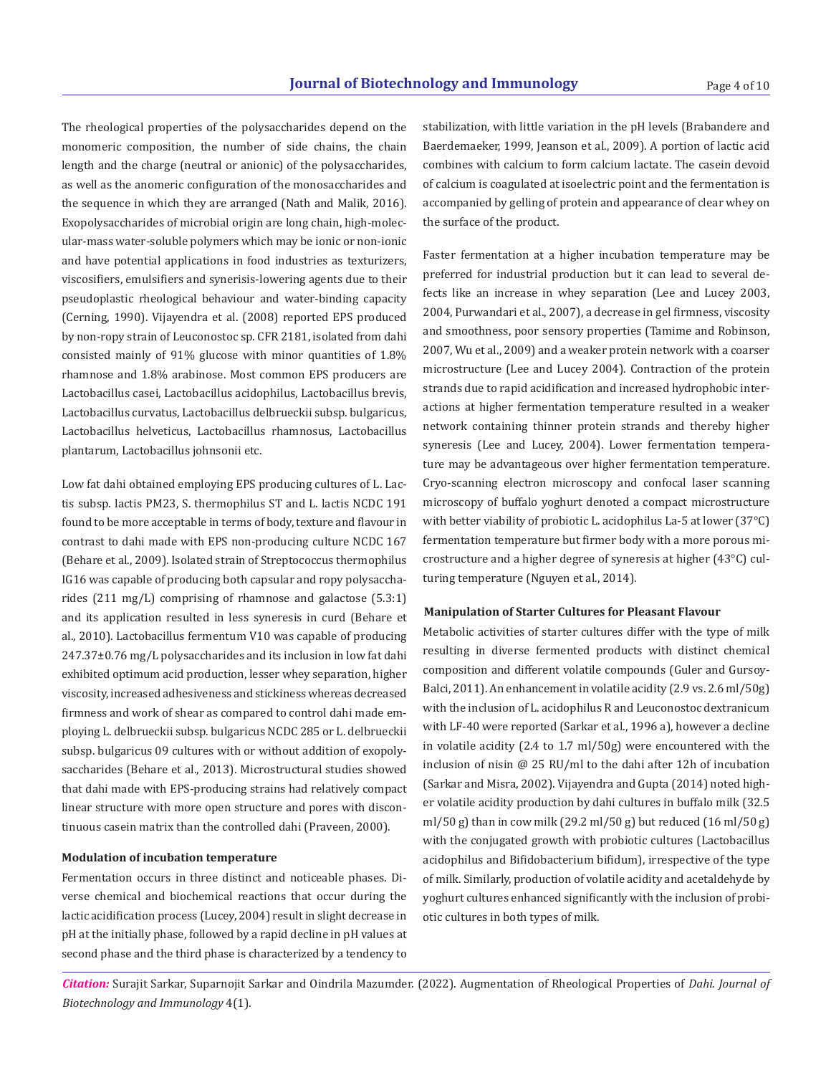The rheological properties of the polysaccharides depend on the monomeric composition, the number of side chains, the chain length and the charge (neutral or anionic) of the polysaccharides, as well as the anomeric configuration of the monosaccharides and the sequence in which they are arranged (Nath and Malik, 2016). Exopolysaccharides of microbial origin are long chain, high-molecular-mass water-soluble polymers which may be ionic or non-ionic and have potential applications in food industries as texturizers, viscosifiers, emulsifiers and synerisis-lowering agents due to their pseudoplastic rheological behaviour and water-binding capacity (Cerning, 1990). Vijayendra et al. (2008) reported EPS produced by non-ropy strain of Leuconostoc sp. CFR 2181, isolated from dahi consisted mainly of 91% glucose with minor quantities of 1.8% rhamnose and 1.8% arabinose. Most common EPS producers are Lactobacillus casei, Lactobacillus acidophilus, Lactobacillus brevis, Lactobacillus curvatus, Lactobacillus delbrueckii subsp. bulgaricus, Lactobacillus helveticus, Lactobacillus rhamnosus, Lactobacillus plantarum, Lactobacillus johnsonii etc.

Low fat dahi obtained employing EPS producing cultures of L. Lactis subsp. lactis PM23, S. thermophilus ST and L. lactis NCDC 191 found to be more acceptable in terms of body, texture and flavour in contrast to dahi made with EPS non-producing culture NCDC 167 (Behare et al., 2009). Isolated strain of Streptococcus thermophilus IG16 was capable of producing both capsular and ropy polysaccharides (211 mg/L) comprising of rhamnose and galactose (5.3:1) and its application resulted in less syneresis in curd (Behare et al., 2010). Lactobacillus fermentum V10 was capable of producing 247.37±0.76 mg/L polysaccharides and its inclusion in low fat dahi exhibited optimum acid production, lesser whey separation, higher viscosity, increased adhesiveness and stickiness whereas decreased firmness and work of shear as compared to control dahi made employing L. delbrueckii subsp. bulgaricus NCDC 285 or L. delbrueckii subsp. bulgaricus 09 cultures with or without addition of exopolysaccharides (Behare et al., 2013). Microstructural studies showed that dahi made with EPS-producing strains had relatively compact linear structure with more open structure and pores with discontinuous casein matrix than the controlled dahi (Praveen, 2000).

#### **Modulation of incubation temperature**

Fermentation occurs in three distinct and noticeable phases. Diverse chemical and biochemical reactions that occur during the lactic acidification process (Lucey, 2004) result in slight decrease in pH at the initially phase, followed by a rapid decline in pH values at second phase and the third phase is characterized by a tendency to

stabilization, with little variation in the pH levels (Brabandere and Baerdemaeker, 1999, Jeanson et al., 2009). A portion of lactic acid combines with calcium to form calcium lactate. The casein devoid of calcium is coagulated at isoelectric point and the fermentation is accompanied by gelling of protein and appearance of clear whey on the surface of the product.

Faster fermentation at a higher incubation temperature may be preferred for industrial production but it can lead to several defects like an increase in whey separation (Lee and Lucey 2003, 2004, Purwandari et al., 2007), a decrease in gel firmness, viscosity and smoothness, poor sensory properties (Tamime and Robinson, 2007, Wu et al., 2009) and a weaker protein network with a coarser microstructure (Lee and Lucey 2004). Contraction of the protein strands due to rapid acidification and increased hydrophobic interactions at higher fermentation temperature resulted in a weaker network containing thinner protein strands and thereby higher syneresis (Lee and Lucey, 2004). Lower fermentation temperature may be advantageous over higher fermentation temperature. Cryo-scanning electron microscopy and confocal laser scanning microscopy of buffalo yoghurt denoted a compact microstructure with better viability of probiotic L. acidophilus La-5 at lower (37°C) fermentation temperature but firmer body with a more porous microstructure and a higher degree of syneresis at higher (43°C) culturing temperature (Nguyen et al., 2014).

#### **Manipulation of Starter Cultures for Pleasant Flavour**

Metabolic activities of starter cultures differ with the type of milk resulting in diverse fermented products with distinct chemical composition and different volatile compounds (Guler and Gursoy-Balci, 2011). An enhancement in volatile acidity (2.9 vs. 2.6 ml/50g) with the inclusion of L. acidophilus R and Leuconostoc dextranicum with LF-40 were reported (Sarkar et al., 1996 a), however a decline in volatile acidity (2.4 to 1.7 ml/50g) were encountered with the inclusion of nisin @ 25 RU/ml to the dahi after 12h of incubation (Sarkar and Misra, 2002). Vijayendra and Gupta (2014) noted higher volatile acidity production by dahi cultures in buffalo milk (32.5 ml/50 g) than in cow milk (29.2 ml/50 g) but reduced (16 ml/50 g) with the conjugated growth with probiotic cultures (Lactobacillus acidophilus and Bifidobacterium bifidum), irrespective of the type of milk. Similarly, production of volatile acidity and acetaldehyde by yoghurt cultures enhanced significantly with the inclusion of probiotic cultures in both types of milk.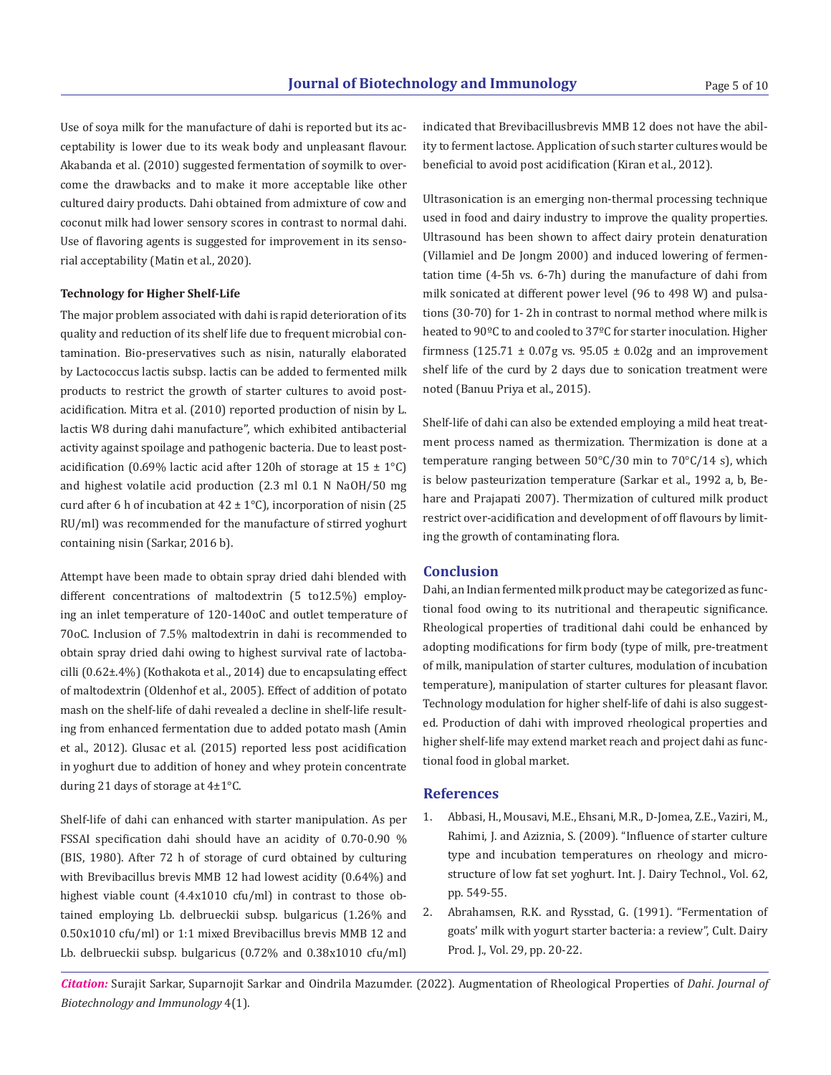Use of soya milk for the manufacture of dahi is reported but its acceptability is lower due to its weak body and unpleasant flavour. Akabanda et al. (2010) suggested fermentation of soymilk to overcome the drawbacks and to make it more acceptable like other cultured dairy products. Dahi obtained from admixture of cow and coconut milk had lower sensory scores in contrast to normal dahi. Use of flavoring agents is suggested for improvement in its sensorial acceptability (Matin et al., 2020).

# **Technology for Higher Shelf-Life**

The major problem associated with dahi is rapid deterioration of its quality and reduction of its shelf life due to frequent microbial contamination. Bio-preservatives such as nisin, naturally elaborated by Lactococcus lactis subsp. lactis can be added to fermented milk products to restrict the growth of starter cultures to avoid postacidification. Mitra et al. (2010) reported production of nisin by L. lactis W8 during dahi manufacture'', which exhibited antibacterial activity against spoilage and pathogenic bacteria. Due to least postacidification (0.69% lactic acid after 120h of storage at  $15 \pm 1$ °C) and highest volatile acid production (2.3 ml 0.1 N NaOH/50 mg curd after 6 h of incubation at  $42 \pm 1^{\circ}$ C), incorporation of nisin (25 RU/ml) was recommended for the manufacture of stirred yoghurt containing nisin (Sarkar, 2016 b).

Attempt have been made to obtain spray dried dahi blended with different concentrations of maltodextrin (5 to12.5%) employing an inlet temperature of 120-140oC and outlet temperature of 70oC. Inclusion of 7.5% maltodextrin in dahi is recommended to obtain spray dried dahi owing to highest survival rate of lactobacilli (0.62±.4%) (Kothakota et al., 2014) due to encapsulating effect of maltodextrin (Oldenhof et al., 2005). Effect of addition of potato mash on the shelf-life of dahi revealed a decline in shelf-life resulting from enhanced fermentation due to added potato mash (Amin et al., 2012). Glusac et al. (2015) reported less post acidification in yoghurt due to addition of honey and whey protein concentrate during 21 days of storage at 4±1°C. **References**

Shelf-life of dahi can enhanced with starter manipulation. As per FSSAI specification dahi should have an acidity of 0.70-0.90 % (BIS, 1980). After 72 h of storage of curd obtained by culturing with Brevibacillus brevis MMB 12 had lowest acidity (0.64%) and highest viable count (4.4x1010 cfu/ml) in contrast to those obtained employing Lb. delbrueckii subsp. bulgaricus (1.26% and 0.50x1010 cfu/ml) or 1:1 mixed Brevibacillus brevis MMB 12 and Lb. delbrueckii subsp. bulgaricus (0.72% and 0.38x1010 cfu/ml)

indicated that Brevibacillusbrevis MMB 12 does not have the ability to ferment lactose. Application of such starter cultures would be beneficial to avoid post acidification (Kiran et al., 2012).

Ultrasonication is an emerging non-thermal processing technique used in food and dairy industry to improve the quality properties. Ultrasound has been shown to affect dairy protein denaturation (Villamiel and De Jongm 2000) and induced lowering of fermentation time (4-5h vs. 6-7h) during the manufacture of dahi from milk sonicated at different power level (96 to 498 W) and pulsations (30-70) for 1- 2h in contrast to normal method where milk is heated to 90ºC to and cooled to 37ºC for starter inoculation. Higher firmness (125.71  $\pm$  0.07g vs. 95.05  $\pm$  0.02g and an improvement shelf life of the curd by 2 days due to sonication treatment were noted (Banuu Priya et al., 2015).

Shelf-life of dahi can also be extended employing a mild heat treatment process named as thermization. Thermization is done at a temperature ranging between 50°C/30 min to 70°C/14 s), which is below pasteurization temperature (Sarkar et al., 1992 a, b, Behare and Prajapati 2007). Thermization of cultured milk product restrict over-acidification and development of off flavours by limiting the growth of contaminating flora.

#### **Conclusion**

Dahi, an Indian fermented milk product may be categorized as functional food owing to its nutritional and therapeutic significance. Rheological properties of traditional dahi could be enhanced by adopting modifications for firm body (type of milk, pre-treatment of milk, manipulation of starter cultures, modulation of incubation temperature), manipulation of starter cultures for pleasant flavor. Technology modulation for higher shelf-life of dahi is also suggested. Production of dahi with improved rheological properties and higher shelf-life may extend market reach and project dahi as functional food in global market.

- 1. Abbasi, H., Mousavi, M.E., Ehsani, M.R., D-Jomea, Z.E., Vaziri, M., Rahimi, J. and Aziznia, S. (2009). "Influence of starter culture type and incubation temperatures on rheology and microstructure of low fat set yoghurt. Int. J. Dairy Technol., Vol. 62, pp. 549-55.
- 2. Abrahamsen, R.K. and Rysstad, G. (1991). "Fermentation of goats' milk with yogurt starter bacteria: a review", Cult. Dairy Prod. J., Vol. 29, pp. 20-22.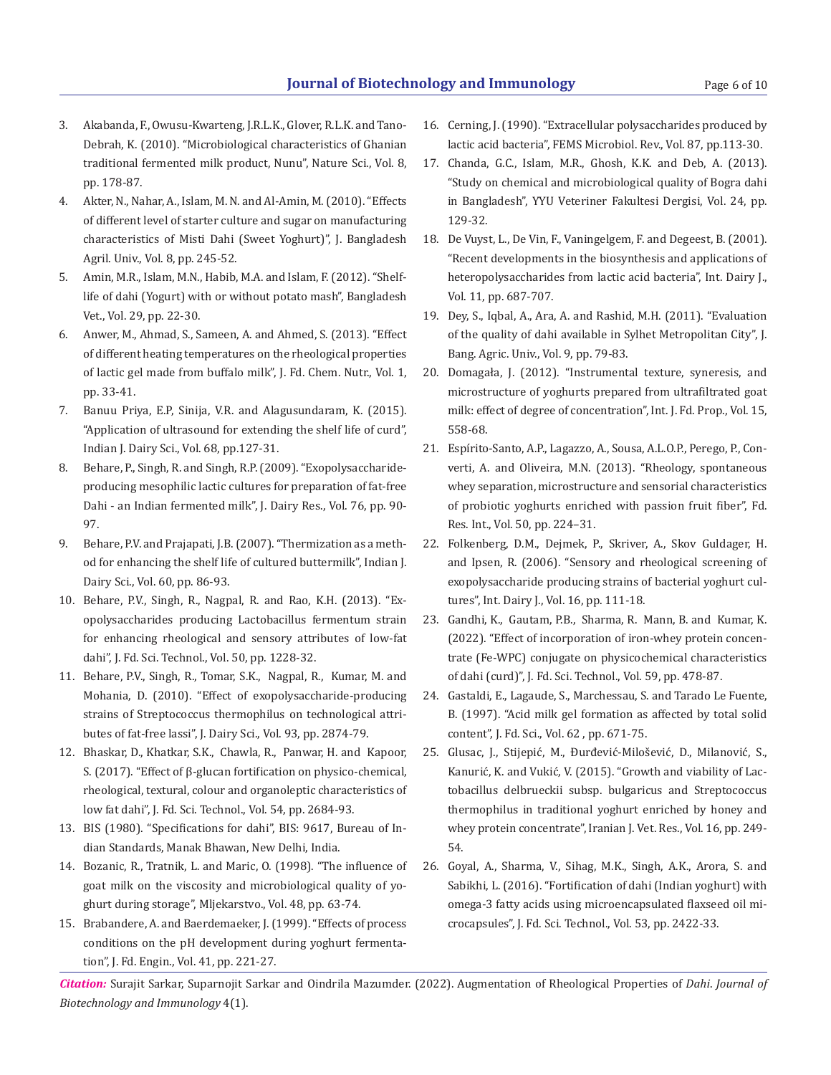Page 6 of 10

- 3. Akabanda, F., Owusu-Kwarteng, J.R.L.K., Glover, R.L.K. and Tano-Debrah, K. (2010). "Microbiological characteristics of Ghanian traditional fermented milk product, Nunu", Nature Sci., Vol. 8, pp. 178-87.
- 4. Akter, N., Nahar, A., Islam, M. N. and Al-Amin, M. (2010). "Effects of different level of starter culture and sugar on manufacturing characteristics of Misti Dahi (Sweet Yoghurt)", J. Bangladesh Agril. Univ., Vol. 8, pp. 245-52.
- 5. Amin, M.R., Islam, M.N., Habib, M.A. and Islam, F. (2012). "Shelflife of dahi (Yogurt) with or without potato mash", Bangladesh Vet., Vol. 29, pp. 22-30.
- 6. Anwer, M., Ahmad, S., Sameen, A. and Ahmed, S. (2013). "Effect of different heating temperatures on the rheological properties of lactic gel made from buffalo milk", J. Fd. Chem. Nutr., Vol. 1, pp. 33-41.
- 7. Banuu Priya, E.P, Sinija, V.R. and Alagusundaram, K. (2015). "Application of ultrasound for extending the shelf life of curd", Indian J. Dairy Sci., Vol. 68, pp.127-31.
- 8. Behare, P., Singh, R. and Singh, R.P. (2009). "Exopolysaccharideproducing mesophilic lactic cultures for preparation of fat-free Dahi - an Indian fermented milk", J. Dairy Res., Vol. 76, pp. 90- 97.
- 9. Behare, P.V. and Prajapati, J.B. (2007). "Thermization as a method for enhancing the shelf life of cultured buttermilk", Indian J. Dairy Sci., Vol. 60, pp. 86-93.
- 10. Behare, P.V., Singh, R., Nagpal, R. and Rao, K.H. (2013). "Exopolysaccharides producing Lactobacillus fermentum strain for enhancing rheological and sensory attributes of low-fat dahi", J. Fd. Sci. Technol., Vol. 50, pp. 1228-32.
- 11. Behare, P.V., Singh, R., Tomar, S.K., Nagpal, R., Kumar, M. and Mohania, D. (2010). "Effect of exopolysaccharide-producing strains of Streptococcus thermophilus on technological attributes of fat-free lassi", J. Dairy Sci., Vol. 93, pp. 2874-79.
- 12. Bhaskar, D., Khatkar, S.K., Chawla, R., Panwar, H. and Kapoor, S. (2017). "Effect of β-glucan fortification on physico-chemical, rheological, textural, colour and organoleptic characteristics of low fat dahi", J. Fd. Sci. Technol., Vol. 54, pp. 2684-93.
- 13. BIS (1980). "Specifications for dahi", BIS: 9617, Bureau of Indian Standards, Manak Bhawan, New Delhi, India.
- 14. Bozanic, R., Tratnik, L. and Maric, O. (1998). "The influence of goat milk on the viscosity and microbiological quality of yoghurt during storage", Mljekarstvo., Vol. 48, pp. 63-74.
- 15. Brabandere, A. and Baerdemaeker, J. (1999). "Effects of process conditions on the pH development during yoghurt fermentation", J. Fd. Engin., Vol. 41, pp. 221-27.
- 16. Cerning, J. (1990). "Extracellular polysaccharides produced by lactic acid bacteria", FEMS Microbiol. Rev., Vol. 87, pp.113-30.
- 17. Chanda, G.C., Islam, M.R., Ghosh, K.K. and Deb, A. (2013). "Study on chemical and microbiological quality of Bogra dahi in Bangladesh", YYU Veteriner Fakultesi Dergisi, Vol. 24, pp. 129-32.
- 18. De Vuyst, L., De Vin, F., Vaningelgem, F. and Degeest, B. (2001). "Recent developments in the biosynthesis and applications of heteropolysaccharides from lactic acid bacteria", Int. Dairy J., Vol. 11, pp. 687-707.
- 19. Dey, S., Iqbal, A., Ara, A. and Rashid, M.H. (2011). "Evaluation of the quality of dahi available in Sylhet Metropolitan City", J. Bang. Agric. Univ., Vol. 9, pp. 79-83.
- 20. Domagała, J. (2012). "Instrumental texture, syneresis, and microstructure of yoghurts prepared from ultrafiltrated goat milk: effect of degree of concentration", Int. J. Fd. Prop., Vol. 15, 558-68.
- 21. Espírito-Santo, A.P., Lagazzo, A., Sousa, A.L.O.P., Perego, P., Converti, A. and Oliveira, M.N. (2013). "Rheology, spontaneous whey separation, microstructure and sensorial characteristics of probiotic yoghurts enriched with passion fruit fiber", Fd. Res. Int., Vol. 50, pp. 224–31.
- 22. Folkenberg, D.M., Dejmek, P., Skriver, A., Skov Guldager, H. and Ipsen, R. (2006). "Sensory and rheological screening of exopolysaccharide producing strains of bacterial yoghurt cultures", Int. Dairy J., Vol. 16, pp. 111-18.
- 23. Gandhi, K., Gautam, P.B., Sharma, R. Mann, B. and Kumar, K. (2022). "Effect of incorporation of iron-whey protein concentrate (Fe-WPC) conjugate on physicochemical characteristics of dahi (curd)", J. Fd. Sci. Technol., Vol. 59, pp. 478-87.
- 24. Gastaldi, E., Lagaude, S., Marchessau, S. and Tarado Le Fuente, B. (1997). "Acid milk gel formation as affected by total solid content", J. Fd. Sci., Vol. 62 , pp. 671-75.
- 25. Glusac, J., Stijepić, M., Đurđević-Milošević, D., Milanović, S., Kanurić, K. and Vukić, V. (2015). "Growth and viability of Lactobacillus delbrueckii subsp. bulgaricus and Streptococcus thermophilus in traditional yoghurt enriched by honey and whey protein concentrate", Iranian J. Vet. Res., Vol. 16, pp. 249- 54.
- 26. Goyal, A., Sharma, V., Sihag, M.K., Singh, A.K., Arora, S. and Sabikhi, L. (2016). "Fortification of dahi (Indian yoghurt) with omega-3 fatty acids using microencapsulated flaxseed oil microcapsules", J. Fd. Sci. Technol., Vol. 53, pp. 2422-33.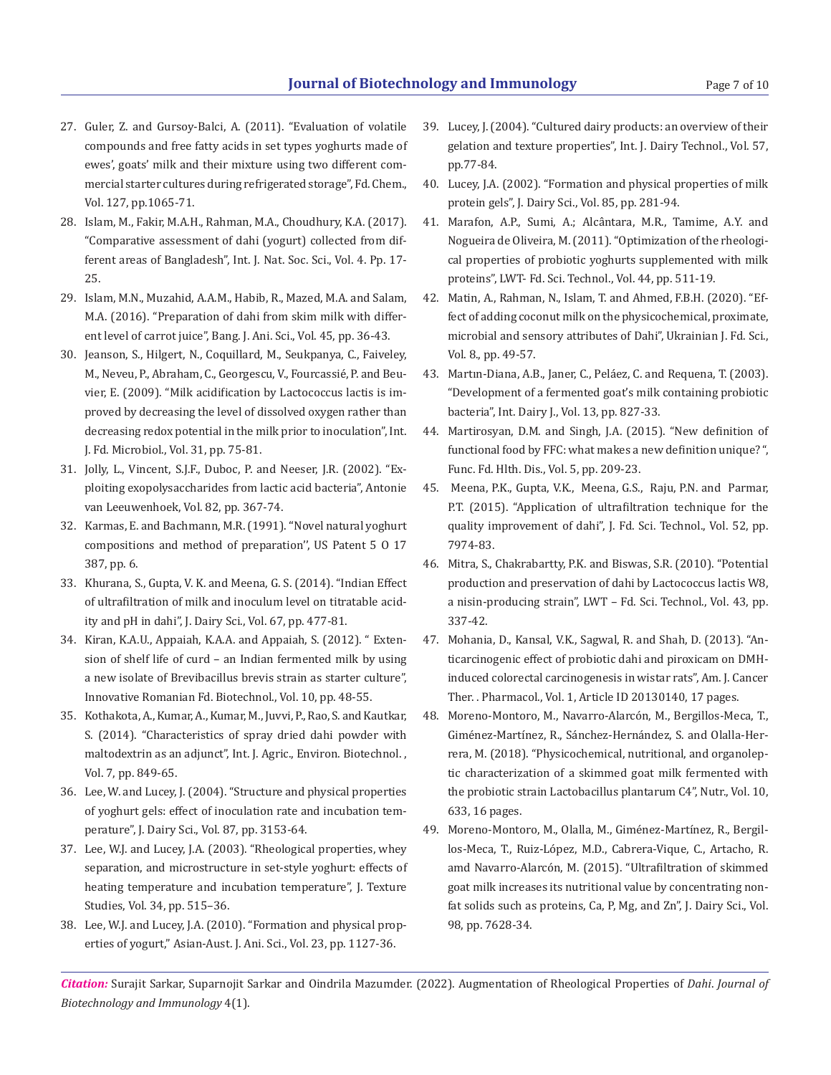- 27. Guler, Z. and Gursoy-Balci, A. (2011). "Evaluation of volatile compounds and free fatty acids in set types yoghurts made of ewes', goats' milk and their mixture using two different commercial starter cultures during refrigerated storage", Fd. Chem., Vol. 127, pp.1065-71.
- 28. Islam, M., Fakir, M.A.H., Rahman, M.A., Choudhury, K.A. (2017). "Comparative assessment of dahi (yogurt) collected from different areas of Bangladesh", Int. J. Nat. Soc. Sci., Vol. 4. Pp. 17- 25.
- 29. Islam, M.N., Muzahid, A.A.M., Habib, R., Mazed, M.A. and Salam, M.A. (2016). "Preparation of dahi from skim milk with different level of carrot juice", Bang. J. Ani. Sci., Vol. 45, pp. 36-43.
- 30. Jeanson, S., Hilgert, N., Coquillard, M., Seukpanya, C., Faiveley, M., Neveu, P., Abraham, C., Georgescu, V., Fourcassié, P. and Beuvier, E. (2009). "Milk acidification by Lactococcus lactis is improved by decreasing the level of dissolved oxygen rather than decreasing redox potential in the milk prior to inoculation", Int. J. Fd. Microbiol., Vol. 31, pp. 75-81.
- 31. Jolly, L., Vincent, S.J.F., Duboc, P. and Neeser, J.R. (2002). "Exploiting exopolysaccharides from lactic acid bacteria", Antonie van Leeuwenhoek, Vol. 82, pp. 367-74.
- 32. Karmas, E. and Bachmann, M.R. (1991). ''Novel natural yoghurt compositions and method of preparation'', US Patent 5 O 17 387, pp. 6.
- 33. Khurana, S., Gupta, V. K. and Meena, G. S. (2014). "Indian Effect of ultrafiltration of milk and inoculum level on titratable acidity and pH in dahi", J. Dairy Sci., Vol. 67, pp. 477-81.
- 34. Kiran, K.A.U., Appaiah, K.A.A. and Appaiah, S. (2012). " Extension of shelf life of curd – an Indian fermented milk by using a new isolate of Brevibacillus brevis strain as starter culture", Innovative Romanian Fd. Biotechnol., Vol. 10, pp. 48-55.
- 35. Kothakota, A., Kumar, A., Kumar, M., Juvvi, P., Rao, S. and Kautkar, S. (2014). "Characteristics of spray dried dahi powder with maltodextrin as an adjunct", Int. J. Agric., Environ. Biotechnol. , Vol. 7, pp. 849-65.
- 36. Lee, W. and Lucey, J. (2004). "Structure and physical properties of yoghurt gels: effect of inoculation rate and incubation temperature", J. Dairy Sci., Vol. 87, pp. 3153-64.
- 37. Lee, W.J. and Lucey, J.A. (2003). "Rheological properties, whey separation, and microstructure in set-style yoghurt: effects of heating temperature and incubation temperature", J. Texture Studies, Vol. 34, pp. 515–36.
- 38. Lee, W.J. and Lucey, J.A. (2010). "Formation and physical properties of yogurt," Asian-Aust. J. Ani. Sci., Vol. 23, pp. 1127-36.
- 39. Lucey, J. (2004). "Cultured dairy products: an overview of their gelation and texture properties", Int. J. Dairy Technol., Vol. 57, pp.77-84.
- 40. Lucey, J.A. (2002). "Formation and physical properties of milk protein gels", J. Dairy Sci., Vol. 85, pp. 281-94.
- 41. Marafon, A.P., Sumi, A.; Alcântara, M.R., Tamime, A.Y. and Nogueira de Oliveira, M. (2011). "Optimization of the rheological properties of probiotic yoghurts supplemented with milk proteins", LWT- Fd. Sci. Technol., Vol. 44, pp. 511-19.
- 42. Matin, A., Rahman, N., Islam, T. and Ahmed, F.B.H. (2020). "Effect of adding coconut milk on the physicochemical, proximate, microbial and sensory attributes of Dahi", Ukrainian J. Fd. Sci., Vol. 8., pp. 49-57.
- 43. Martın-Diana, A.B., Janer, C., Peláez, C. and Requena, T. (2003). "Development of a fermented goat's milk containing probiotic bacteria", Int. Dairy J., Vol. 13, pp. 827-33.
- 44. Martirosyan, D.M. and Singh, J.A. (2015). "New definition of functional food by FFC: what makes a new definition unique? ", Func. Fd. Hlth. Dis., Vol. 5, pp. 209-23.
- 45. Meena, P.K., Gupta, V.K., Meena, G.S., Raju, P.N. and Parmar, P.T. (2015). "Application of ultrafiltration technique for the quality improvement of dahi", J. Fd. Sci. Technol., Vol. 52, pp. 7974-83.
- 46. Mitra, S., Chakrabartty, P.K. and Biswas, S.R. (2010). "Potential production and preservation of dahi by Lactococcus lactis W8, a nisin-producing strain", LWT – Fd. Sci. Technol., Vol. 43, pp. 337-42.
- 47. Mohania, D., Kansal, V.K., Sagwal, R. and Shah, D. (2013). "Anticarcinogenic effect of probiotic dahi and piroxicam on DMHinduced colorectal carcinogenesis in wistar rats", Am. J. Cancer Ther. . Pharmacol., Vol. 1, Article ID 20130140, 17 pages.
- 48. Moreno-Montoro, M., Navarro-Alarcón, M., Bergillos-Meca, T., Giménez-Martínez, R., Sánchez-Hernández, S. and Olalla-Herrera, M. (2018). "Physicochemical, nutritional, and organoleptic characterization of a skimmed goat milk fermented with the probiotic strain Lactobacillus plantarum C4", Nutr., Vol. 10, 633, 16 pages.
- 49. Moreno-Montoro, M., Olalla, M., Giménez-Martínez, R., Bergillos-Meca, T., Ruiz-López, M.D., Cabrera-Vique, C., Artacho, R. amd Navarro-Alarcón, M. (2015). "Ultrafiltration of skimmed goat milk increases its nutritional value by concentrating nonfat solids such as proteins, Ca, P, Mg, and Zn", J. Dairy Sci., Vol. 98, pp. 7628-34.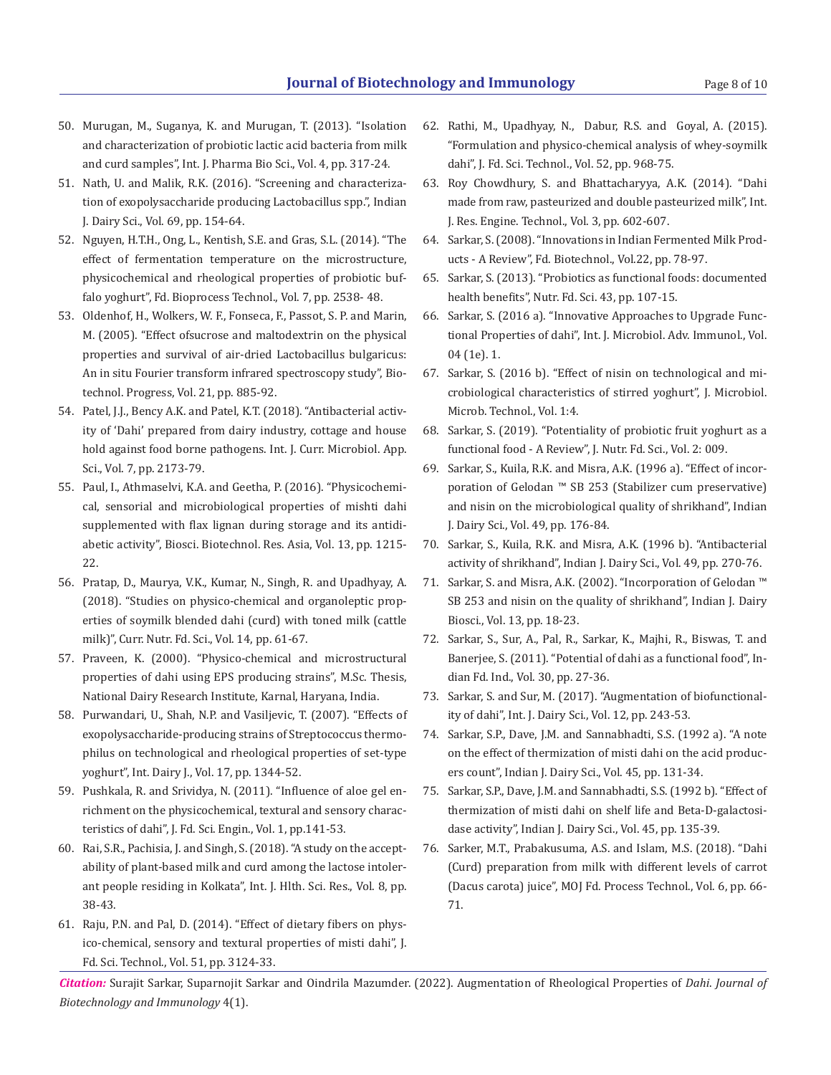Page 8 of 10

- 50. Murugan, M., Suganya, K. and Murugan, T. (2013). "Isolation and characterization of probiotic lactic acid bacteria from milk and curd samples", Int. J. Pharma Bio Sci., Vol. 4, pp. 317-24.
- 51. Nath, U. and Malik, R.K. (2016). "Screening and characterization of exopolysaccharide producing Lactobacillus spp.", Indian J. Dairy Sci., Vol. 69, pp. 154-64.
- 52. Nguyen, H.T.H., Ong, L., Kentish, S.E. and Gras, S.L. (2014). "The effect of fermentation temperature on the microstructure, physicochemical and rheological properties of probiotic buffalo yoghurt", Fd. Bioprocess Technol., Vol. 7, pp. 2538- 48.
- 53. Oldenhof, H., Wolkers, W. F., Fonseca, F., Passot, S. P. and Marin, M. (2005). "Effect ofsucrose and maltodextrin on the physical properties and survival of air-dried Lactobacillus bulgaricus: An in situ Fourier transform infrared spectroscopy study", Biotechnol. Progress, Vol. 21, pp. 885-92.
- 54. Patel, J.J., Bency A.K. and Patel, K.T. (2018). "Antibacterial activity of 'Dahi' prepared from dairy industry, cottage and house hold against food borne pathogens. Int. J. Curr. Microbiol. App. Sci., Vol. 7, pp. 2173-79.
- 55. Paul, I., Athmaselvi, K.A. and Geetha, P. (2016). "Physicochemical, sensorial and microbiological properties of mishti dahi supplemented with flax lignan during storage and its antidiabetic activity", Biosci. Biotechnol. Res. Asia, Vol. 13, pp. 1215- 22.
- 56. Pratap, D., Maurya, V.K., Kumar, N., Singh, R. and Upadhyay, A. (2018). "Studies on physico-chemical and organoleptic properties of soymilk blended dahi (curd) with toned milk (cattle milk)", Curr. Nutr. Fd. Sci., Vol. 14, pp. 61-67.
- 57. Praveen, K. (2000). "Physico-chemical and microstructural properties of dahi using EPS producing strains", M.Sc. Thesis, National Dairy Research Institute, Karnal, Haryana, India.
- 58. Purwandari, U., Shah, N.P. and Vasiljevic, T. (2007). "Effects of exopolysaccharide-producing strains of Streptococcus thermophilus on technological and rheological properties of set-type yoghurt", Int. Dairy J., Vol. 17, pp. 1344-52.
- 59. Pushkala, R. and Srividya, N. (2011). "Influence of aloe gel enrichment on the physicochemical, textural and sensory characteristics of dahi", J. Fd. Sci. Engin., Vol. 1, pp.141-53.
- 60. Rai, S.R., Pachisia, J. and Singh, S. (2018). "A study on the acceptability of plant-based milk and curd among the lactose intolerant people residing in Kolkata", Int. J. Hlth. Sci. Res., Vol. 8, pp. 38-43.
- 61. Raju, P.N. and Pal, D. (2014). "Effect of dietary fibers on physico-chemical, sensory and textural properties of misti dahi", J. Fd. Sci. Technol., Vol. 51, pp. 3124-33.
- 62. Rathi, M., Upadhyay, N., Dabur, R.S. and Goyal, A. (2015). "Formulation and physico-chemical analysis of whey-soymilk dahi", J. Fd. Sci. Technol., Vol. 52, pp. 968-75.
- 63. Roy Chowdhury, S. and Bhattacharyya, A.K. (2014). "Dahi made from raw, pasteurized and double pasteurized milk", Int. J. Res. Engine. Technol., Vol. 3, pp. 602-607.
- 64. Sarkar, S. (2008). "Innovations in Indian Fermented Milk Products - A Review", Fd. Biotechnol., Vol.22, pp. 78-97.
- 65. Sarkar, S. (2013). "Probiotics as functional foods: documented health benefits", Nutr. Fd. Sci. 43, pp. 107-15.
- 66. Sarkar, S. (2016 a). "Innovative Approaches to Upgrade Functional Properties of dahi", Int. J. Microbiol. Adv. Immunol., Vol. 04 (1e). 1.
- 67. Sarkar, S. (2016 b). "Effect of nisin on technological and microbiological characteristics of stirred yoghurt", J. Microbiol. Microb. Technol., Vol. 1:4.
- 68. Sarkar, S. (2019). "Potentiality of probiotic fruit yoghurt as a functional food - A Review", J. Nutr. Fd. Sci., Vol. 2: 009.
- 69. Sarkar, S., Kuila, R.K. and Misra, A.K. (1996 a). "Effect of incorporation of Gelodan ™ SB 253 (Stabilizer cum preservative) and nisin on the microbiological quality of shrikhand", Indian J. Dairy Sci., Vol. 49, pp. 176-84.
- 70. Sarkar, S., Kuila, R.K. and Misra, A.K. (1996 b). "Antibacterial activity of shrikhand", Indian J. Dairy Sci., Vol. 49, pp. 270-76.
- 71. Sarkar, S. and Misra, A.K. (2002). "Incorporation of Gelodan ™ SB 253 and nisin on the quality of shrikhand", Indian J. Dairy Biosci., Vol. 13, pp. 18-23.
- 72. Sarkar, S., Sur, A., Pal, R., Sarkar, K., Majhi, R., Biswas, T. and Banerjee, S. (2011). "Potential of dahi as a functional food", Indian Fd. Ind., Vol. 30, pp. 27-36.
- 73. Sarkar, S. and Sur, M. (2017). "Augmentation of biofunctionality of dahi", Int. J. Dairy Sci., Vol. 12, pp. 243-53.
- 74. Sarkar, S.P., Dave, J.M. and Sannabhadti, S.S. (1992 a). "A note on the effect of thermization of misti dahi on the acid producers count", Indian J. Dairy Sci., Vol. 45, pp. 131-34.
- 75. Sarkar, S.P., Dave, J.M. and Sannabhadti, S.S. (1992 b). "Effect of thermization of misti dahi on shelf life and Beta-D-galactosidase activity", Indian J. Dairy Sci., Vol. 45, pp. 135-39.
- 76. Sarker, M.T., Prabakusuma, A.S. and Islam, M.S. (2018). "Dahi (Curd) preparation from milk with different levels of carrot (Dacus carota) juice", MOJ Fd. Process Technol., Vol. 6, pp. 66- 71.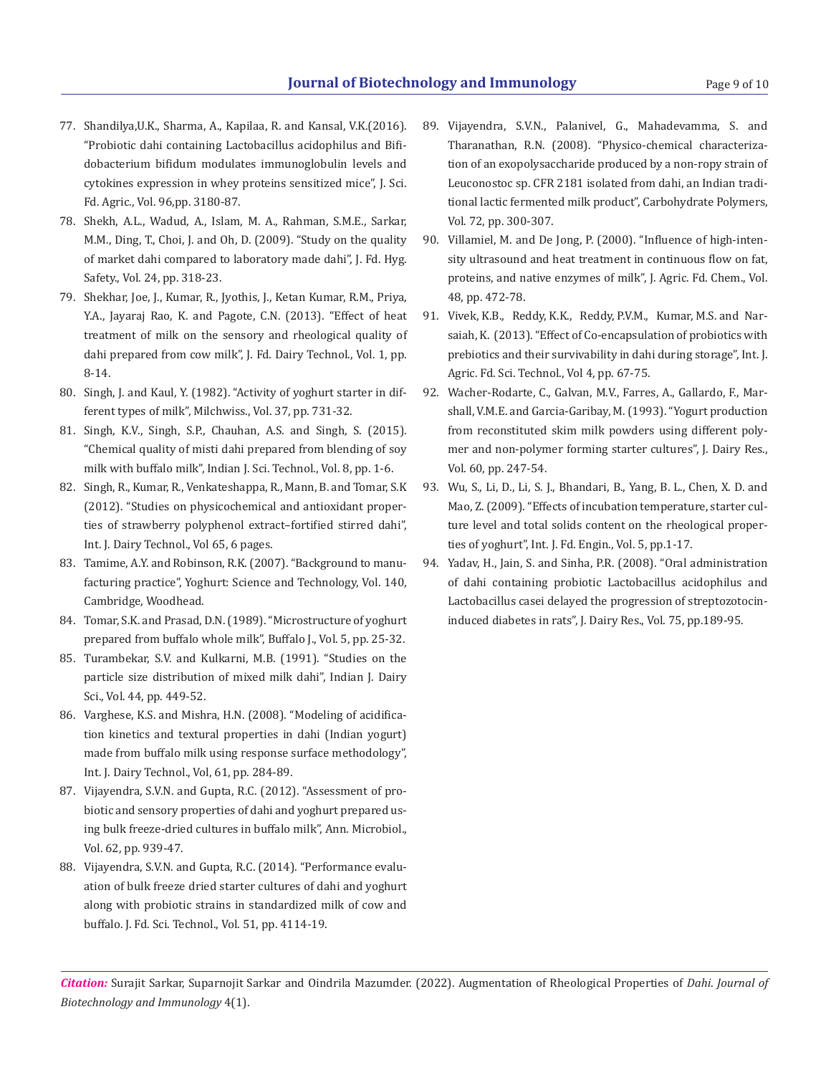- 77. Shandilya,U.K., Sharma, A., Kapilaa, R. and Kansal, V.K.(2016). "Probiotic dahi containing Lactobacillus acidophilus and Bifidobacterium bifidum modulates immunoglobulin levels and cytokines expression in whey proteins sensitized mice", J. Sci. Fd. Agric., Vol. 96,pp. 3180-87.
- 78. Shekh, A.L., Wadud, A., Islam, M. A., Rahman, S.M.E., Sarkar, M.M., Ding, T., Choi, J. and Oh, D. (2009). "Study on the quality of market dahi compared to laboratory made dahi", J. Fd. Hyg. Safety., Vol. 24, pp. 318-23.
- 79. Shekhar, Joe, J., Kumar, R., Jyothis, J., Ketan Kumar, R.M., Priya, Y.A., Jayaraj Rao, K. and Pagote, C.N. (2013). "Effect of heat treatment of milk on the sensory and rheological quality of dahi prepared from cow milk", J. Fd. Dairy Technol., Vol. 1, pp. 8-14.
- 80. Singh, J. and Kaul, Y. (1982). "Activity of yoghurt starter in different types of milk", Milchwiss., Vol. 37, pp. 731-32.
- 81. Singh, K.V., Singh, S.P., Chauhan, A.S. and Singh, S. (2015). "Chemical quality of misti dahi prepared from blending of soy milk with buffalo milk", Indian J. Sci. Technol., Vol. 8, pp. 1-6.
- 82. Singh, R., Kumar, R., Venkateshappa, R., Mann, B. and Tomar, S.K (2012). "Studies on physicochemical and antioxidant properties of strawberry polyphenol extract–fortified stirred dahi", Int. J. Dairy Technol., Vol 65, 6 pages.
- 83. Tamime, A.Y. and Robinson, R.K. (2007). "Background to manufacturing practice", Yoghurt: Science and Technology, Vol. 140, Cambridge, Woodhead.
- 84. Tomar, S.K. and Prasad, D.N. (1989). "Microstructure of yoghurt prepared from buffalo whole milk", Buffalo J., Vol. 5, pp. 25-32.
- 85. Turambekar, S.V. and Kulkarni, M.B. (1991). "Studies on the particle size distribution of mixed milk dahi", Indian J. Dairy Sci., Vol. 44, pp. 449-52.
- 86. Varghese, K.S. and Mishra, H.N. (2008). "Modeling of acidification kinetics and textural properties in dahi (Indian yogurt) made from buffalo milk using response surface methodology", Int. J. Dairy Technol., Vol, 61, pp. 284-89.
- 87. Vijayendra, S.V.N. and Gupta, R.C. (2012). "Assessment of probiotic and sensory properties of dahi and yoghurt prepared using bulk freeze-dried cultures in buffalo milk", Ann. Microbiol., Vol. 62, pp. 939-47.
- 88. Vijayendra, S.V.N. and Gupta, R.C. (2014). "Performance evaluation of bulk freeze dried starter cultures of dahi and yoghurt along with probiotic strains in standardized milk of cow and buffalo. J. Fd. Sci. Technol., Vol. 51, pp. 4114-19.
- 89. Vijayendra, S.V.N., Palanivel, G., Mahadevamma, S. and Tharanathan, R.N. (2008). "Physico-chemical characterization of an exopolysaccharide produced by a non-ropy strain of Leuconostoc sp. CFR 2181 isolated from dahi, an Indian traditional lactic fermented milk product", Carbohydrate Polymers, Vol. 72, pp. 300-307.
- 90. Villamiel, M. and De Jong, P. (2000). "Influence of high-intensity ultrasound and heat treatment in continuous flow on fat, proteins, and native enzymes of milk", J. Agric. Fd. Chem., Vol. 48, pp. 472-78.
- 91. Vivek, K.B., Reddy, K.K., Reddy, P.V.M., Kumar, M.S. and Narsaiah, K. (2013). "Effect of Co-encapsulation of probiotics with prebiotics and their survivability in dahi during storage", Int. J. Agric. Fd. Sci. Technol., Vol 4, pp. 67-75.
- 92. Wacher-Rodarte, C., Galvan, M.V., Farres, A., Gallardo, F., Marshall, V.M.E. and Garcia-Garibay, M. (1993). "Yogurt production from reconstituted skim milk powders using different polymer and non-polymer forming starter cultures", J. Dairy Res., Vol. 60, pp. 247-54.
- 93. Wu, S., Li, D., Li, S. J., Bhandari, B., Yang, B. L., Chen, X. D. and Mao, Z. (2009). "Effects of incubation temperature, starter culture level and total solids content on the rheological properties of yoghurt", Int. J. Fd. Engin., Vol. 5, pp.1-17.
- 94. Yadav, H., Jain, S. and Sinha, P.R. (2008). "Oral administration of dahi containing probiotic Lactobacillus acidophilus and Lactobacillus casei delayed the progression of streptozotocininduced diabetes in rats", J. Dairy Res., Vol. 75, pp.189-95.